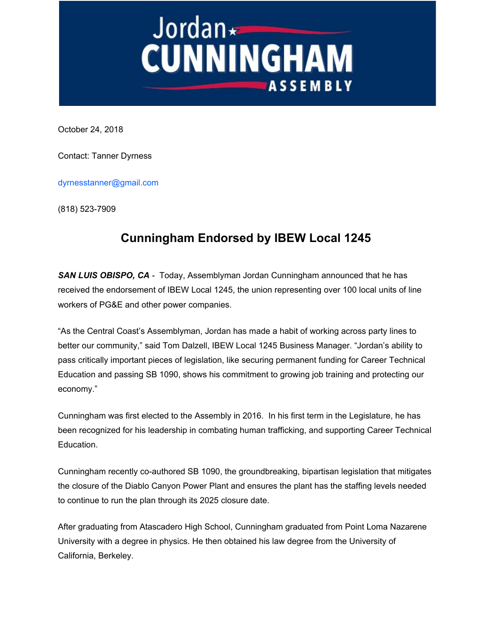## Jordan - Jordan - Jordan - Jordan - Jordan - Jordan - Jordan - Joseph A. **ASSEMBLY**

October 24, 2018

Contact: Tanner Dyrness

dyrnesstanner@gmail.com

(818) 523-7909

## **Cunningham Endorsed by IBEW Local 1245**

*SAN LUIS OBISPO, CA -* Today, Assemblyman Jordan Cunningham announced that he has received the endorsement of IBEW Local 1245, the union representing over 100 local units of line workers of PG&E and other power companies.

"As the Central Coast's Assemblyman, Jordan has made a habit of working across party lines to better our community," said Tom Dalzell, IBEW Local 1245 Business Manager. "Jordan's ability to pass critically important pieces of legislation, like securing permanent funding for Career Technical Education and passing SB 1090, shows his commitment to growing job training and protecting our economy."

Cunningham was first elected to the Assembly in 2016. In his first term in the Legislature, he has been recognized for his leadership in combating human trafficking, and supporting Career Technical Education.

Cunningham recently co-authored SB 1090, the groundbreaking, bipartisan legislation that mitigates the closure of the Diablo Canyon Power Plant and ensures the plant has the staffing levels needed to continue to run the plan through its 2025 closure date.

After graduating from Atascadero High School, Cunningham graduated from Point Loma Nazarene University with a degree in physics. He then obtained his law degree from the University of California, Berkeley.